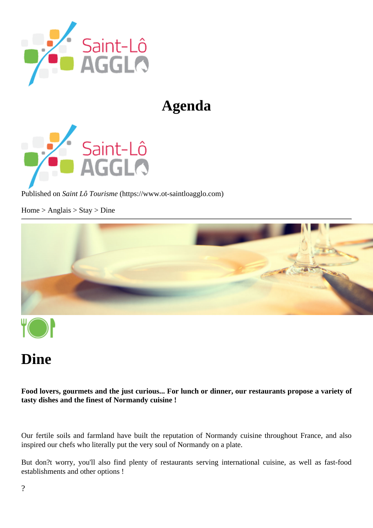## Agenda

Published or Saint Lô Tourism (https://www.ot-saintloagglo.com

Home > Anglais > Stay > Dine

## Dine

Food lovers, gourmets and the just curious... For lunch or dinner, our restaurants propose a variety of tasty dishes and the finest of Normandy cuisine !

Our fertile soils and farmland have built the reputation of Normandy cuisine throughout France, and also inspired our chefs who literally put the very soul of Normandy on a plate.

But don?t worry, you'll also find plenty of restaurants serving international cuisine, as well as fast-food establishments and other options !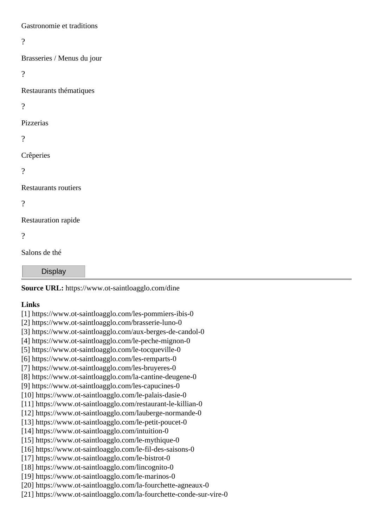Gastronomie et traditions

 $\gamma$ 

Brasseries / Menus du jour

 $\gamma$ 

Restaurants thématiques

?

Pizzerias

 $\gamma$ 

Crêperies

 $\gamma$ 

Restaurants routiers

 $\gamma$ 

Restauration rapide

?

Salons de thé

**Display** 

**Source URL:** https://www.ot-saintloagglo.com/dine

## **Links**

[1] https://www.ot-saintloagglo.com/les-pommiers-ibis-0 [2] https://www.ot-saintloagglo.com/brasserie-luno-0 [3] https://www.ot-saintloagglo.com/aux-berges-de-candol-0 [4] https://www.ot-saintloagglo.com/le-peche-mignon-0 [5] https://www.ot-saintloagglo.com/le-tocqueville-0 [6] https://www.ot-saintloagglo.com/les-remparts-0 [7] https://www.ot-saintloagglo.com/les-bruyeres-0 [8] https://www.ot-saintloagglo.com/la-cantine-deugene-0 [9] https://www.ot-saintloagglo.com/les-capucines-0 [10] https://www.ot-saintloagglo.com/le-palais-dasie-0 [11] https://www.ot-saintloagglo.com/restaurant-le-killian-0 [12] https://www.ot-saintloagglo.com/lauberge-normande-0 [13] https://www.ot-saintloagglo.com/le-petit-poucet-0 [14] https://www.ot-saintloagglo.com/intuition-0 [15] https://www.ot-saintloagglo.com/le-mythique-0 [16] https://www.ot-saintloagglo.com/le-fil-des-saisons-0 [17] https://www.ot-saintloagglo.com/le-bistrot-0 [18] https://www.ot-saintloagglo.com/lincognito-0 [19] https://www.ot-saintloagglo.com/le-marinos-0 [20] https://www.ot-saintloagglo.com/la-fourchette-agneaux-0 [21] https://www.ot-saintloagglo.com/la-fourchette-conde-sur-vire-0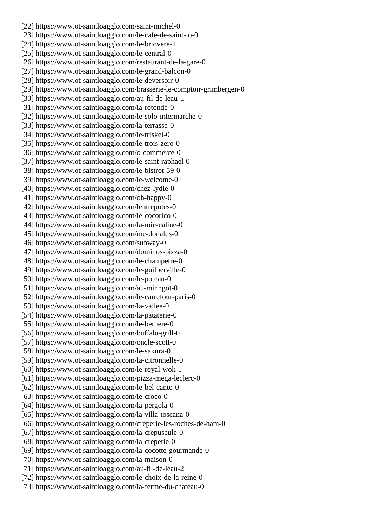[22] https://www.ot-saintloagglo.com/saint-michel-0 [23] https://www.ot-saintloagglo.com/le-cafe-de-saint-lo-0 [24] https://www.ot-saintloagglo.com/le-briovere-1 [25] https://www.ot-saintloagglo.com/le-central-0 [26] https://www.ot-saintloagglo.com/restaurant-de-la-gare-0 [27] https://www.ot-saintloagglo.com/le-grand-balcon-0 [28] https://www.ot-saintloagglo.com/le-deversoir-0 [29] https://www.ot-saintloagglo.com/brasserie-le-comptoir-grimbergen-0 [30] https://www.ot-saintloagglo.com/au-fil-de-leau-1 [31] https://www.ot-saintloagglo.com/la-rotonde-0 [32] https://www.ot-saintloagglo.com/le-solo-intermarche-0 [33] https://www.ot-saintloagglo.com/la-terrasse-0 [34] https://www.ot-saintloagglo.com/le-triskel-0 [35] https://www.ot-saintloagglo.com/le-trois-zero-0 [36] https://www.ot-saintloagglo.com/o-commerce-0 [37] https://www.ot-saintloagglo.com/le-saint-raphael-0 [38] https://www.ot-saintloagglo.com/le-bistrot-59-0 [39] https://www.ot-saintloagglo.com/le-welcome-0 [40] https://www.ot-saintloagglo.com/chez-lydie-0 [41] https://www.ot-saintloagglo.com/oh-happy-0 [42] https://www.ot-saintloagglo.com/lentrepotes-0 [43] https://www.ot-saintloagglo.com/le-cocorico-0 [44] https://www.ot-saintloagglo.com/la-mie-caline-0 [45] https://www.ot-saintloagglo.com/mc-donalds-0 [46] https://www.ot-saintloagglo.com/subway-0 [47] https://www.ot-saintloagglo.com/dominos-pizza-0 [48] https://www.ot-saintloagglo.com/le-champetre-0 [49] https://www.ot-saintloagglo.com/le-guilberville-0 [50] https://www.ot-saintloagglo.com/le-poteau-0 [51] https://www.ot-saintloagglo.com/au-minngot-0 [52] https://www.ot-saintloagglo.com/le-carrefour-paris-0 [53] https://www.ot-saintloagglo.com/la-vallee-0 [54] https://www.ot-saintloagglo.com/la-pataterie-0 [55] https://www.ot-saintloagglo.com/le-berbere-0 [56] https://www.ot-saintloagglo.com/buffalo-grill-0 [57] https://www.ot-saintloagglo.com/oncle-scott-0 [58] https://www.ot-saintloagglo.com/le-sakura-0 [59] https://www.ot-saintloagglo.com/la-citronnelle-0 [60] https://www.ot-saintloagglo.com/le-royal-wok-1 [61] https://www.ot-saintloagglo.com/pizza-mega-leclerc-0 [62] https://www.ot-saintloagglo.com/le-bel-canto-0 [63] https://www.ot-saintloagglo.com/le-croco-0 [64] https://www.ot-saintloagglo.com/la-pergola-0 [65] https://www.ot-saintloagglo.com/la-villa-toscana-0 [66] https://www.ot-saintloagglo.com/creperie-les-roches-de-ham-0 [67] https://www.ot-saintloagglo.com/la-crepuscule-0 [68] https://www.ot-saintloagglo.com/la-creperie-0 [69] https://www.ot-saintloagglo.com/la-cocotte-gourmande-0 [70] https://www.ot-saintloagglo.com/la-maison-0 [71] https://www.ot-saintloagglo.com/au-fil-de-leau-2 [72] https://www.ot-saintloagglo.com/le-choix-de-la-reine-0 [73] https://www.ot-saintloagglo.com/la-ferme-du-chateau-0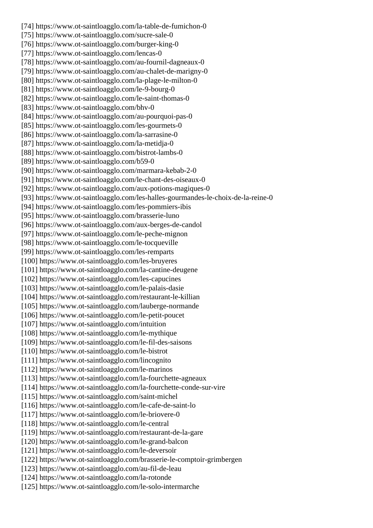[74] https://www.ot-saintloagglo.com/la-table-de-fumichon-0 [75] https://www.ot-saintloagglo.com/sucre-sale-0 [76] https://www.ot-saintloagglo.com/burger-king-0 [77] https://www.ot-saintloagglo.com/lencas-0 [78] https://www.ot-saintloagglo.com/au-fournil-dagneaux-0 [79] https://www.ot-saintloagglo.com/au-chalet-de-marigny-0 [80] https://www.ot-saintloagglo.com/la-plage-le-milton-0 [81] https://www.ot-saintloagglo.com/le-9-bourg-0 [82] https://www.ot-saintloagglo.com/le-saint-thomas-0 [83] https://www.ot-saintloagglo.com/bhv-0 [84] https://www.ot-saintloagglo.com/au-pourquoi-pas-0 [85] https://www.ot-saintloagglo.com/les-gourmets-0 [86] https://www.ot-saintloagglo.com/la-sarrasine-0 [87] https://www.ot-saintloagglo.com/la-metidja-0 [88] https://www.ot-saintloagglo.com/bistrot-lambs-0 [89] https://www.ot-saintloagglo.com/b59-0 [90] https://www.ot-saintloagglo.com/marmara-kebab-2-0 [91] https://www.ot-saintloagglo.com/le-chant-des-oiseaux-0 [92] https://www.ot-saintloagglo.com/aux-potions-magiques-0 [93] https://www.ot-saintloagglo.com/les-halles-gourmandes-le-choix-de-la-reine-0 [94] https://www.ot-saintloagglo.com/les-pommiers-ibis [95] https://www.ot-saintloagglo.com/brasserie-luno [96] https://www.ot-saintloagglo.com/aux-berges-de-candol [97] https://www.ot-saintloagglo.com/le-peche-mignon [98] https://www.ot-saintloagglo.com/le-tocqueville [99] https://www.ot-saintloagglo.com/les-remparts [100] https://www.ot-saintloagglo.com/les-bruyeres [101] https://www.ot-saintloagglo.com/la-cantine-deugene [102] https://www.ot-saintloagglo.com/les-capucines [103] https://www.ot-saintloagglo.com/le-palais-dasie [104] https://www.ot-saintloagglo.com/restaurant-le-killian [105] https://www.ot-saintloagglo.com/lauberge-normande [106] https://www.ot-saintloagglo.com/le-petit-poucet [107] https://www.ot-saintloagglo.com/intuition [108] https://www.ot-saintloagglo.com/le-mythique [109] https://www.ot-saintloagglo.com/le-fil-des-saisons [110] https://www.ot-saintloagglo.com/le-bistrot [111] https://www.ot-saintloagglo.com/lincognito [112] https://www.ot-saintloagglo.com/le-marinos [113] https://www.ot-saintloagglo.com/la-fourchette-agneaux [114] https://www.ot-saintloagglo.com/la-fourchette-conde-sur-vire [115] https://www.ot-saintloagglo.com/saint-michel [116] https://www.ot-saintloagglo.com/le-cafe-de-saint-lo [117] https://www.ot-saintloagglo.com/le-briovere-0 [118] https://www.ot-saintloagglo.com/le-central [119] https://www.ot-saintloagglo.com/restaurant-de-la-gare [120] https://www.ot-saintloagglo.com/le-grand-balcon [121] https://www.ot-saintloagglo.com/le-deversoir [122] https://www.ot-saintloagglo.com/brasserie-le-comptoir-grimbergen [123] https://www.ot-saintloagglo.com/au-fil-de-leau [124] https://www.ot-saintloagglo.com/la-rotonde [125] https://www.ot-saintloagglo.com/le-solo-intermarche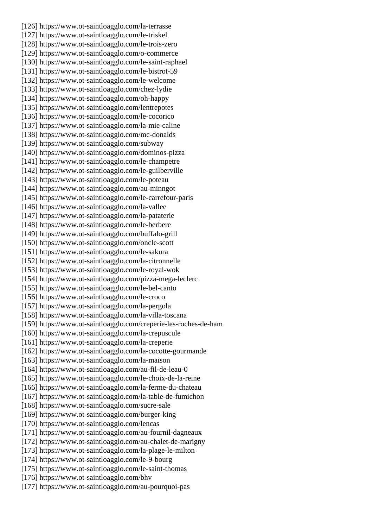[126] https://www.ot-saintloagglo.com/la-terrasse [127] https://www.ot-saintloagglo.com/le-triskel [128] https://www.ot-saintloagglo.com/le-trois-zero [129] https://www.ot-saintloagglo.com/o-commerce [130] https://www.ot-saintloagglo.com/le-saint-raphael [131] https://www.ot-saintloagglo.com/le-bistrot-59 [132] https://www.ot-saintloagglo.com/le-welcome [133] https://www.ot-saintloagglo.com/chez-lydie [134] https://www.ot-saintloagglo.com/oh-happy [135] https://www.ot-saintloagglo.com/lentrepotes [136] https://www.ot-saintloagglo.com/le-cocorico [137] https://www.ot-saintloagglo.com/la-mie-caline [138] https://www.ot-saintloagglo.com/mc-donalds [139] https://www.ot-saintloagglo.com/subway [140] https://www.ot-saintloagglo.com/dominos-pizza [141] https://www.ot-saintloagglo.com/le-champetre [142] https://www.ot-saintloagglo.com/le-guilberville [143] https://www.ot-saintloagglo.com/le-poteau [144] https://www.ot-saintloagglo.com/au-minngot [145] https://www.ot-saintloagglo.com/le-carrefour-paris [146] https://www.ot-saintloagglo.com/la-vallee [147] https://www.ot-saintloagglo.com/la-pataterie [148] https://www.ot-saintloagglo.com/le-berbere [149] https://www.ot-saintloagglo.com/buffalo-grill [150] https://www.ot-saintloagglo.com/oncle-scott [151] https://www.ot-saintloagglo.com/le-sakura [152] https://www.ot-saintloagglo.com/la-citronnelle [153] https://www.ot-saintloagglo.com/le-royal-wok [154] https://www.ot-saintloagglo.com/pizza-mega-leclerc [155] https://www.ot-saintloagglo.com/le-bel-canto [156] https://www.ot-saintloagglo.com/le-croco [157] https://www.ot-saintloagglo.com/la-pergola [158] https://www.ot-saintloagglo.com/la-villa-toscana [159] https://www.ot-saintloagglo.com/creperie-les-roches-de-ham [160] https://www.ot-saintloagglo.com/la-crepuscule [161] https://www.ot-saintloagglo.com/la-creperie [162] https://www.ot-saintloagglo.com/la-cocotte-gourmande [163] https://www.ot-saintloagglo.com/la-maison [164] https://www.ot-saintloagglo.com/au-fil-de-leau-0 [165] https://www.ot-saintloagglo.com/le-choix-de-la-reine [166] https://www.ot-saintloagglo.com/la-ferme-du-chateau [167] https://www.ot-saintloagglo.com/la-table-de-fumichon [168] https://www.ot-saintloagglo.com/sucre-sale [169] https://www.ot-saintloagglo.com/burger-king [170] https://www.ot-saintloagglo.com/lencas [171] https://www.ot-saintloagglo.com/au-fournil-dagneaux [172] https://www.ot-saintloagglo.com/au-chalet-de-marigny [173] https://www.ot-saintloagglo.com/la-plage-le-milton [174] https://www.ot-saintloagglo.com/le-9-bourg [175] https://www.ot-saintloagglo.com/le-saint-thomas [176] https://www.ot-saintloagglo.com/bhv [177] https://www.ot-saintloagglo.com/au-pourquoi-pas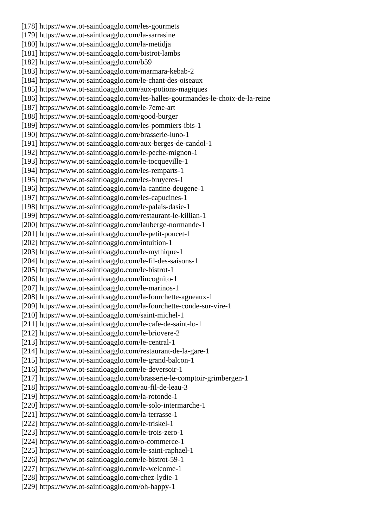[178] https://www.ot-saintloagglo.com/les-gourmets [179] https://www.ot-saintloagglo.com/la-sarrasine [180] https://www.ot-saintloagglo.com/la-metidja [181] https://www.ot-saintloagglo.com/bistrot-lambs [182] https://www.ot-saintloagglo.com/b59 [183] https://www.ot-saintloagglo.com/marmara-kebab-2 [184] https://www.ot-saintloagglo.com/le-chant-des-oiseaux [185] https://www.ot-saintloagglo.com/aux-potions-magiques [186] https://www.ot-saintloagglo.com/les-halles-gourmandes-le-choix-de-la-reine [187] https://www.ot-saintloagglo.com/le-7eme-art [188] https://www.ot-saintloagglo.com/good-burger [189] https://www.ot-saintloagglo.com/les-pommiers-ibis-1 [190] https://www.ot-saintloagglo.com/brasserie-luno-1 [191] https://www.ot-saintloagglo.com/aux-berges-de-candol-1 [192] https://www.ot-saintloagglo.com/le-peche-mignon-1 [193] https://www.ot-saintloagglo.com/le-tocqueville-1 [194] https://www.ot-saintloagglo.com/les-remparts-1 [195] https://www.ot-saintloagglo.com/les-bruyeres-1 [196] https://www.ot-saintloagglo.com/la-cantine-deugene-1 [197] https://www.ot-saintloagglo.com/les-capucines-1 [198] https://www.ot-saintloagglo.com/le-palais-dasie-1 [199] https://www.ot-saintloagglo.com/restaurant-le-killian-1 [200] https://www.ot-saintloagglo.com/lauberge-normande-1 [201] https://www.ot-saintloagglo.com/le-petit-poucet-1 [202] https://www.ot-saintloagglo.com/intuition-1 [203] https://www.ot-saintloagglo.com/le-mythique-1 [204] https://www.ot-saintloagglo.com/le-fil-des-saisons-1 [205] https://www.ot-saintloagglo.com/le-bistrot-1 [206] https://www.ot-saintloagglo.com/lincognito-1 [207] https://www.ot-saintloagglo.com/le-marinos-1 [208] https://www.ot-saintloagglo.com/la-fourchette-agneaux-1 [209] https://www.ot-saintloagglo.com/la-fourchette-conde-sur-vire-1 [210] https://www.ot-saintloagglo.com/saint-michel-1 [211] https://www.ot-saintloagglo.com/le-cafe-de-saint-lo-1 [212] https://www.ot-saintloagglo.com/le-briovere-2 [213] https://www.ot-saintloagglo.com/le-central-1 [214] https://www.ot-saintloagglo.com/restaurant-de-la-gare-1 [215] https://www.ot-saintloagglo.com/le-grand-balcon-1 [216] https://www.ot-saintloagglo.com/le-deversoir-1 [217] https://www.ot-saintloagglo.com/brasserie-le-comptoir-grimbergen-1 [218] https://www.ot-saintloagglo.com/au-fil-de-leau-3 [219] https://www.ot-saintloagglo.com/la-rotonde-1 [220] https://www.ot-saintloagglo.com/le-solo-intermarche-1 [221] https://www.ot-saintloagglo.com/la-terrasse-1 [222] https://www.ot-saintloagglo.com/le-triskel-1 [223] https://www.ot-saintloagglo.com/le-trois-zero-1 [224] https://www.ot-saintloagglo.com/o-commerce-1 [225] https://www.ot-saintloagglo.com/le-saint-raphael-1 [226] https://www.ot-saintloagglo.com/le-bistrot-59-1 [227] https://www.ot-saintloagglo.com/le-welcome-1 [228] https://www.ot-saintloagglo.com/chez-lydie-1 [229] https://www.ot-saintloagglo.com/oh-happy-1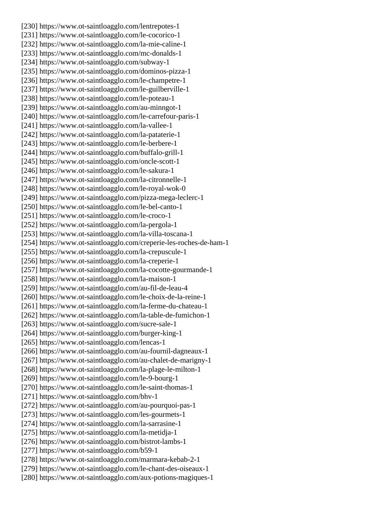[230] https://www.ot-saintloagglo.com/lentrepotes-1 [231] https://www.ot-saintloagglo.com/le-cocorico-1 [232] https://www.ot-saintloagglo.com/la-mie-caline-1 [233] https://www.ot-saintloagglo.com/mc-donalds-1 [234] https://www.ot-saintloagglo.com/subway-1 [235] https://www.ot-saintloagglo.com/dominos-pizza-1 [236] https://www.ot-saintloagglo.com/le-champetre-1 [237] https://www.ot-saintloagglo.com/le-guilberville-1 [238] https://www.ot-saintloagglo.com/le-poteau-1 [239] https://www.ot-saintloagglo.com/au-minngot-1 [240] https://www.ot-saintloagglo.com/le-carrefour-paris-1 [241] https://www.ot-saintloagglo.com/la-vallee-1 [242] https://www.ot-saintloagglo.com/la-pataterie-1 [243] https://www.ot-saintloagglo.com/le-berbere-1 [244] https://www.ot-saintloagglo.com/buffalo-grill-1 [245] https://www.ot-saintloagglo.com/oncle-scott-1 [246] https://www.ot-saintloagglo.com/le-sakura-1 [247] https://www.ot-saintloagglo.com/la-citronnelle-1 [248] https://www.ot-saintloagglo.com/le-royal-wok-0 [249] https://www.ot-saintloagglo.com/pizza-mega-leclerc-1 [250] https://www.ot-saintloagglo.com/le-bel-canto-1 [251] https://www.ot-saintloagglo.com/le-croco-1 [252] https://www.ot-saintloagglo.com/la-pergola-1 [253] https://www.ot-saintloagglo.com/la-villa-toscana-1 [254] https://www.ot-saintloagglo.com/creperie-les-roches-de-ham-1 [255] https://www.ot-saintloagglo.com/la-crepuscule-1 [256] https://www.ot-saintloagglo.com/la-creperie-1 [257] https://www.ot-saintloagglo.com/la-cocotte-gourmande-1 [258] https://www.ot-saintloagglo.com/la-maison-1 [259] https://www.ot-saintloagglo.com/au-fil-de-leau-4 [260] https://www.ot-saintloagglo.com/le-choix-de-la-reine-1 [261] https://www.ot-saintloagglo.com/la-ferme-du-chateau-1 [262] https://www.ot-saintloagglo.com/la-table-de-fumichon-1 [263] https://www.ot-saintloagglo.com/sucre-sale-1 [264] https://www.ot-saintloagglo.com/burger-king-1 [265] https://www.ot-saintloagglo.com/lencas-1 [266] https://www.ot-saintloagglo.com/au-fournil-dagneaux-1 [267] https://www.ot-saintloagglo.com/au-chalet-de-marigny-1 [268] https://www.ot-saintloagglo.com/la-plage-le-milton-1 [269] https://www.ot-saintloagglo.com/le-9-bourg-1 [270] https://www.ot-saintloagglo.com/le-saint-thomas-1 [271] https://www.ot-saintloagglo.com/bhv-1 [272] https://www.ot-saintloagglo.com/au-pourquoi-pas-1 [273] https://www.ot-saintloagglo.com/les-gourmets-1 [274] https://www.ot-saintloagglo.com/la-sarrasine-1 [275] https://www.ot-saintloagglo.com/la-metidja-1 [276] https://www.ot-saintloagglo.com/bistrot-lambs-1 [277] https://www.ot-saintloagglo.com/b59-1 [278] https://www.ot-saintloagglo.com/marmara-kebab-2-1 [279] https://www.ot-saintloagglo.com/le-chant-des-oiseaux-1 [280] https://www.ot-saintloagglo.com/aux-potions-magiques-1